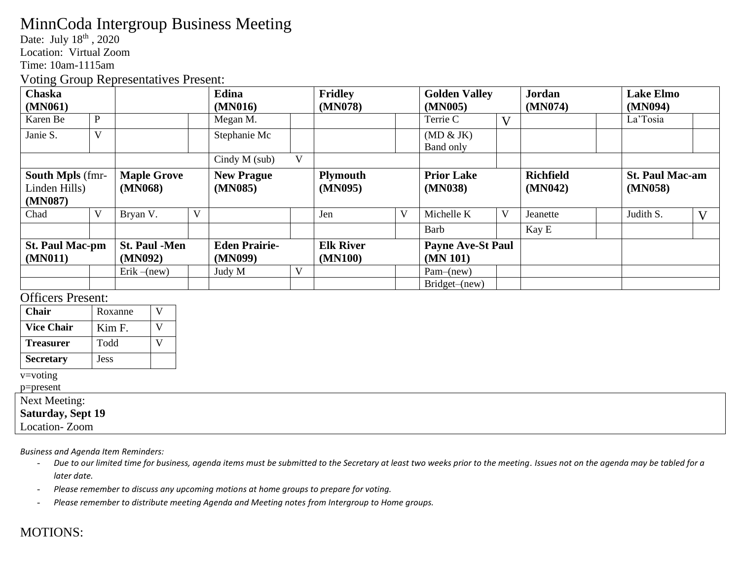## MinnCoda Intergroup Business Meeting

Date: July 18<sup>th</sup>, 2020

Location: Virtual Zoom

Time: 10am-1115am

Voting Group Representatives Present:

| <b>Chaska</b>                                       |              | Edina                           |         | <b>Fridley</b>                  |         | <b>Golden Valley</b>        |         | <b>Jordan</b>                        |         | <b>Lake Elmo</b>            |         |                                   |              |
|-----------------------------------------------------|--------------|---------------------------------|---------|---------------------------------|---------|-----------------------------|---------|--------------------------------------|---------|-----------------------------|---------|-----------------------------------|--------------|
| (MN061)                                             |              |                                 | (MN016) |                                 | (MN078) |                             | (MN005) |                                      | (MN074) |                             | (MN094) |                                   |              |
| Karen Be                                            | $\mathbf{P}$ |                                 |         | Megan M.                        |         |                             |         | Terrie C                             | V       |                             |         | La'Tosia                          |              |
| Janie S.                                            | V            |                                 |         | Stephanie Mc                    |         |                             |         | (MD & JK)<br>Band only               |         |                             |         |                                   |              |
|                                                     |              |                                 |         | Cindy $M$ (sub)                 | V       |                             |         |                                      |         |                             |         |                                   |              |
| <b>South Mpls</b> (fmr-<br>Linden Hills)<br>(MN087) |              | <b>Maple Grove</b><br>(MN068)   |         | <b>New Prague</b><br>(MN085)    |         | <b>Plymouth</b><br>(MN095)  |         | <b>Prior Lake</b><br>(MN038)         |         | <b>Richfield</b><br>(MN042) |         | <b>St. Paul Mac-am</b><br>(MN058) |              |
| Chad                                                | V            | Bryan V.                        | V       |                                 |         | Jen                         | V       | Michelle K                           | V       | Jeanette                    |         | Judith S.                         | $\mathbf{V}$ |
|                                                     |              |                                 |         |                                 |         |                             |         | <b>Barb</b>                          |         | Kay E                       |         |                                   |              |
| <b>St. Paul Mac-pm</b><br>(MN011)                   |              | <b>St. Paul -Men</b><br>(MN092) |         | <b>Eden Prairie-</b><br>(MN099) |         | <b>Elk River</b><br>(MN100) |         | <b>Payne Ave-St Paul</b><br>(MN 101) |         |                             |         |                                   |              |
|                                                     |              | Erik $-(new)$                   |         | Judy M                          | V       |                             |         | $Pam-(new)$                          |         |                             |         |                                   |              |
|                                                     |              |                                 |         |                                 |         |                             |         | Bridget-(new)                        |         |                             |         |                                   |              |

## Officers Present:

| <b>Chair</b>      | Roxanne     |  |
|-------------------|-------------|--|
| <b>Vice Chair</b> | Kim F.      |  |
| <b>Treasurer</b>  | Todd        |  |
| <b>Secretary</b>  | <b>Jess</b> |  |

v=voting

p=present

## Next Meeting:

**Saturday, Sept 19**

Location- Zoom

*Business and Agenda Item Reminders:*

- *Due to our limited time for business, agenda items must be submitted to the Secretary at least two weeks prior to the meeting. Issues not on the agenda may be tabled for a later date.*
- *Please remember to discuss any upcoming motions at home groups to prepare for voting.*
- *Please remember to distribute meeting Agenda and Meeting notes from Intergroup to Home groups.*

## MOTIONS: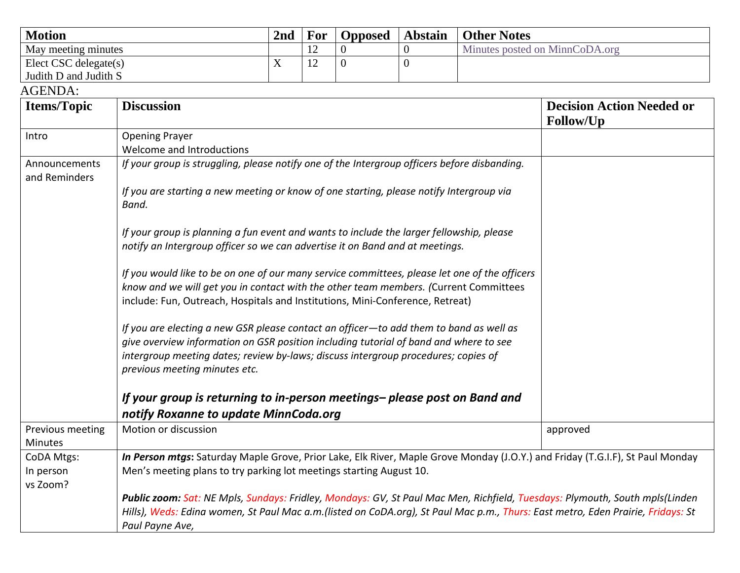| <b>Motion</b>         | 2 <sub>nd</sub> | For                   | <b>Opposed</b> | <b>Abstain</b> | <b>Other Notes</b>             |
|-----------------------|-----------------|-----------------------|----------------|----------------|--------------------------------|
| May meeting minutes   |                 | 1 <sub>2</sub><br>1/2 |                |                | Minutes posted on MinnCoDA.org |
| Elect CSC delegate(s) |                 | $1 \cap$<br>∸         |                |                |                                |
| Judith D and Judith S |                 |                       |                |                |                                |

AGENDA:

| <b>Items/Topic</b>                 | <b>Discussion</b>                                                                                                                                                                                                                                                                                      | <b>Decision Action Needed or</b><br>Follow/Up |  |  |  |  |  |  |
|------------------------------------|--------------------------------------------------------------------------------------------------------------------------------------------------------------------------------------------------------------------------------------------------------------------------------------------------------|-----------------------------------------------|--|--|--|--|--|--|
| Intro                              | <b>Opening Prayer</b>                                                                                                                                                                                                                                                                                  |                                               |  |  |  |  |  |  |
|                                    | Welcome and Introductions                                                                                                                                                                                                                                                                              |                                               |  |  |  |  |  |  |
| Announcements<br>and Reminders     | If your group is struggling, please notify one of the Intergroup officers before disbanding.                                                                                                                                                                                                           |                                               |  |  |  |  |  |  |
|                                    | If you are starting a new meeting or know of one starting, please notify Intergroup via<br>Band.                                                                                                                                                                                                       |                                               |  |  |  |  |  |  |
|                                    | If your group is planning a fun event and wants to include the larger fellowship, please<br>notify an Intergroup officer so we can advertise it on Band and at meetings.                                                                                                                               |                                               |  |  |  |  |  |  |
|                                    | If you would like to be on one of our many service committees, please let one of the officers<br>know and we will get you in contact with the other team members. (Current Committees<br>include: Fun, Outreach, Hospitals and Institutions, Mini-Conference, Retreat)                                 |                                               |  |  |  |  |  |  |
|                                    | If you are electing a new GSR please contact an officer-to add them to band as well as<br>give overview information on GSR position including tutorial of band and where to see<br>intergroup meeting dates; review by-laws; discuss intergroup procedures; copies of<br>previous meeting minutes etc. |                                               |  |  |  |  |  |  |
|                                    | If your group is returning to in-person meetings- please post on Band and                                                                                                                                                                                                                              |                                               |  |  |  |  |  |  |
|                                    | notify Roxanne to update MinnCoda.org                                                                                                                                                                                                                                                                  |                                               |  |  |  |  |  |  |
| Previous meeting<br><b>Minutes</b> | Motion or discussion                                                                                                                                                                                                                                                                                   | approved                                      |  |  |  |  |  |  |
| CoDA Mtgs:                         | In Person mtgs: Saturday Maple Grove, Prior Lake, Elk River, Maple Grove Monday (J.O.Y.) and Friday (T.G.I.F), St Paul Monday                                                                                                                                                                          |                                               |  |  |  |  |  |  |
| In person<br>vs Zoom?              | Men's meeting plans to try parking lot meetings starting August 10.                                                                                                                                                                                                                                    |                                               |  |  |  |  |  |  |
|                                    | Public zoom: Sat: NE Mpls, Sundays: Fridley, Mondays: GV, St Paul Mac Men, Richfield, Tuesdays: Plymouth, South mpls(Linden<br>Hills), Weds: Edina women, St Paul Mac a.m.(listed on CoDA.org), St Paul Mac p.m., Thurs: East metro, Eden Prairie, Fridays: St<br>Paul Payne Ave,                      |                                               |  |  |  |  |  |  |